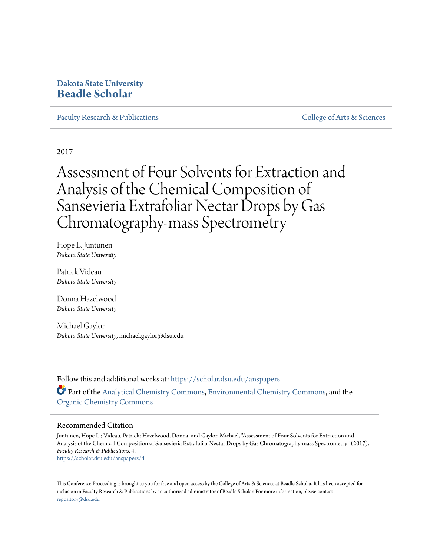## **Dakota State University [Beadle Scholar](https://scholar.dsu.edu?utm_source=scholar.dsu.edu%2Fanspapers%2F4&utm_medium=PDF&utm_campaign=PDFCoverPages)**

[Faculty Research & Publications](https://scholar.dsu.edu/anspapers?utm_source=scholar.dsu.edu%2Fanspapers%2F4&utm_medium=PDF&utm_campaign=PDFCoverPages) [College of Arts & Sciences](https://scholar.dsu.edu/artsandsciences?utm_source=scholar.dsu.edu%2Fanspapers%2F4&utm_medium=PDF&utm_campaign=PDFCoverPages)

2017

Assessment of Four Solvents for Extraction and Analysis of the Chemical Composition of Sansevieria Extrafoliar Nectar Drops by Gas Chromatography-mass Spectrometry

Hope L. Juntunen *Dakota State University*

Patrick Videau *Dakota State University*

Donna Hazelwood *Dakota State University*

Michael Gaylor *Dakota State University*, michael.gaylor@dsu.edu

Follow this and additional works at: [https://scholar.dsu.edu/anspapers](https://scholar.dsu.edu/anspapers?utm_source=scholar.dsu.edu%2Fanspapers%2F4&utm_medium=PDF&utm_campaign=PDFCoverPages) Part of the [Analytical Chemistry Commons,](http://network.bepress.com/hgg/discipline/132?utm_source=scholar.dsu.edu%2Fanspapers%2F4&utm_medium=PDF&utm_campaign=PDFCoverPages) [Environmental Chemistry Commons,](http://network.bepress.com/hgg/discipline/134?utm_source=scholar.dsu.edu%2Fanspapers%2F4&utm_medium=PDF&utm_campaign=PDFCoverPages) and the [Organic Chemistry Commons](http://network.bepress.com/hgg/discipline/138?utm_source=scholar.dsu.edu%2Fanspapers%2F4&utm_medium=PDF&utm_campaign=PDFCoverPages)

## Recommended Citation

Juntunen, Hope L.; Videau, Patrick; Hazelwood, Donna; and Gaylor, Michael, "Assessment of Four Solvents for Extraction and Analysis of the Chemical Composition of Sansevieria Extrafoliar Nectar Drops by Gas Chromatography-mass Spectrometry" (2017). *Faculty Research & Publications*. 4. [https://scholar.dsu.edu/anspapers/4](https://scholar.dsu.edu/anspapers/4?utm_source=scholar.dsu.edu%2Fanspapers%2F4&utm_medium=PDF&utm_campaign=PDFCoverPages)

This Conference Proceeding is brought to you for free and open access by the College of Arts & Sciences at Beadle Scholar. It has been accepted for inclusion in Faculty Research & Publications by an authorized administrator of Beadle Scholar. For more information, please contact [repository@dsu.edu.](mailto:repository@dsu.edu)